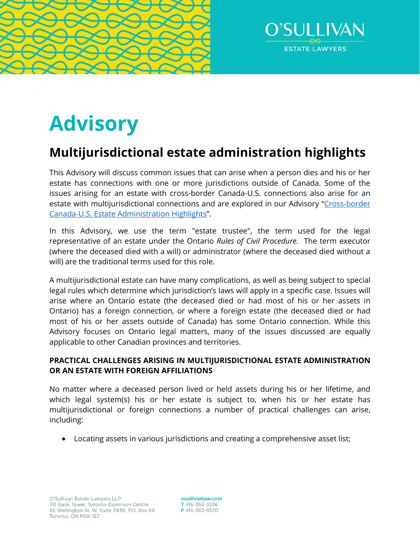



# **Advisory**

# **Multijurisdictional estate administration highlights**

This Advisory will discuss common issues that can arise when a person dies and his or her estate has connections with one or more jurisdictions outside of Canada. Some of the issues arising for an estate with cross-border Canada-U.S. connections also arise for an estate with multijurisdictional connections and are explored in our Advisory "Cross-border [Canada-U.S. Estate Administration Highlights](https://www.osullivanlaw.com/Advisory-Letters/Cross-Border-Canada-US-Estate-Administration-Highlights.pdf)".

In this Advisory, we use the term "estate trustee", the term used for the legal representative of an estate under the Ontario *Rules of Civil Procedure.* The term executor (where the deceased died with a will) or administrator (where the deceased died without a will) are the traditional terms used for this role.

A multijurisdictional estate can have many complications, as well as being subject to special legal rules which determine which jurisdiction's laws will apply in a specific case. Issues will arise where an Ontario estate (the deceased died or had most of his or her assets in Ontario) has a foreign connection, or where a foreign estate (the deceased died or had most of his or her assets outside of Canada) has some Ontario connection. While this Advisory focuses on Ontario legal matters, many of the issues discussed are equally applicable to other Canadian provinces and territories.

# **PRACTICAL CHALLENGES ARISING IN MULTIJURISDICTIONAL ESTATE ADMINISTRATION OR AN ESTATE WITH FOREIGN AFFILIATIONS**

No matter where a deceased person lived or held assets during his or her lifetime, and which legal system(s) his or her estate is subject to, when his or her estate has multijurisdictional or foreign connections a number of practical challenges can arise, including:

Locating assets in various jurisdictions and creating a comprehensive asset list;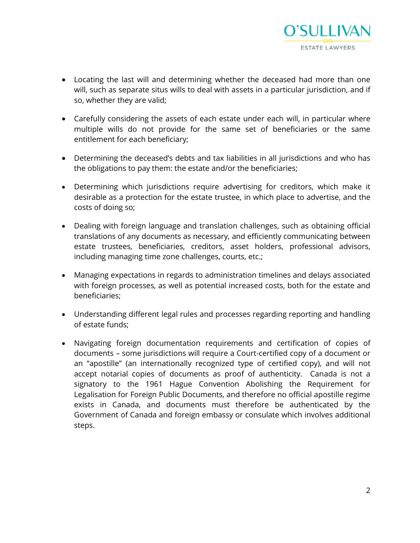

- Locating the last will and determining whether the deceased had more than one will, such as separate situs wills to deal with assets in a particular jurisdiction, and if so, whether they are valid;
- Carefully considering the assets of each estate under each will, in particular where multiple wills do not provide for the same set of beneficiaries or the same entitlement for each beneficiary;
- Determining the deceased's debts and tax liabilities in all jurisdictions and who has the obligations to pay them: the estate and/or the beneficiaries;
- Determining which jurisdictions require advertising for creditors, which make it desirable as a protection for the estate trustee, in which place to advertise, and the costs of doing so;
- Dealing with foreign language and translation challenges, such as obtaining official translations of any documents as necessary, and efficiently communicating between estate trustees, beneficiaries, creditors, asset holders, professional advisors, including managing time zone challenges, courts, etc.;
- Managing expectations in regards to administration timelines and delays associated with foreign processes, as well as potential increased costs, both for the estate and beneficiaries;
- Understanding different legal rules and processes regarding reporting and handling of estate funds;
- Navigating foreign documentation requirements and certification of copies of documents – some jurisdictions will require a Court-certified copy of a document or an "apostille" (an internationally recognized type of certified copy), and will not accept notarial copies of documents as proof of authenticity. Canada is not a signatory to the 1961 Hague Convention Abolishing the Requirement for Legalisation for Foreign Public Documents, and therefore no official apostille regime exists in Canada, and documents must therefore be authenticated by the Government of Canada and foreign embassy or consulate which involves additional steps.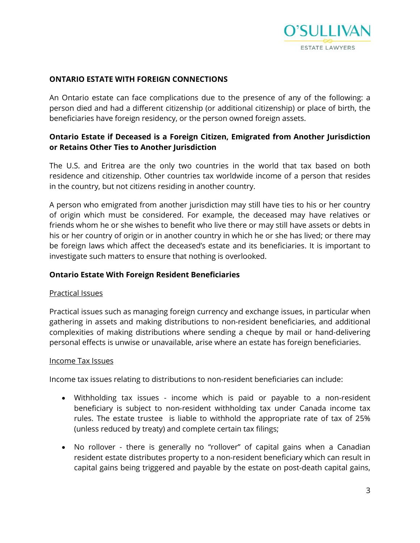

#### **ONTARIO ESTATE WITH FOREIGN CONNECTIONS**

An Ontario estate can face complications due to the presence of any of the following: a person died and had a different citizenship (or additional citizenship) or place of birth, the beneficiaries have foreign residency, or the person owned foreign assets.

# **Ontario Estate if Deceased is a Foreign Citizen, Emigrated from Another Jurisdiction or Retains Other Ties to Another Jurisdiction**

The U.S. and Eritrea are the only two countries in the world that tax based on both residence and citizenship. Other countries tax worldwide income of a person that resides in the country, but not citizens residing in another country.

A person who emigrated from another jurisdiction may still have ties to his or her country of origin which must be considered. For example, the deceased may have relatives or friends whom he or she wishes to benefit who live there or may still have assets or debts in his or her country of origin or in another country in which he or she has lived; or there may be foreign laws which affect the deceased's estate and its beneficiaries. It is important to investigate such matters to ensure that nothing is overlooked.

## **Ontario Estate With Foreign Resident Beneficiaries**

#### Practical Issues

Practical issues such as managing foreign currency and exchange issues, in particular when gathering in assets and making distributions to non-resident beneficiaries, and additional complexities of making distributions where sending a cheque by mail or hand-delivering personal effects is unwise or unavailable, arise where an estate has foreign beneficiaries.

#### Income Tax Issues

Income tax issues relating to distributions to non-resident beneficiaries can include:

- Withholding tax issues income which is paid or payable to a non-resident beneficiary is subject to non-resident withholding tax under Canada income tax rules. The estate trustee is liable to withhold the appropriate rate of tax of 25% (unless reduced by treaty) and complete certain tax filings;
- No rollover there is generally no "rollover" of capital gains when a Canadian resident estate distributes property to a non-resident beneficiary which can result in capital gains being triggered and payable by the estate on post-death capital gains,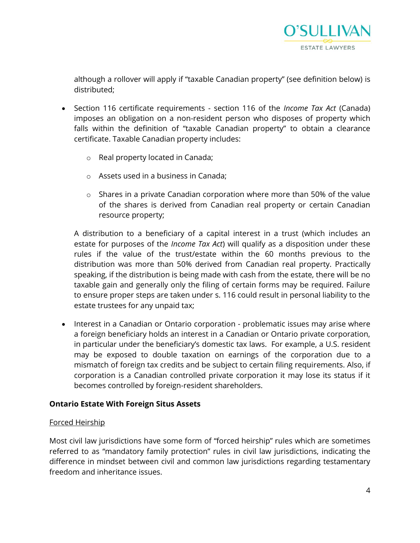

although a rollover will apply if "taxable Canadian property" (see definition below) is distributed;

- Section 116 certificate requirements section 116 of the *Income Tax Act* (Canada) imposes an obligation on a non-resident person who disposes of property which falls within the definition of "taxable Canadian property" to obtain a clearance certificate. Taxable Canadian property includes:
	- o Real property located in Canada;
	- o Assets used in a business in Canada;
	- o Shares in a private Canadian corporation where more than 50% of the value of the shares is derived from Canadian real property or certain Canadian resource property;

A distribution to a beneficiary of a capital interest in a trust (which includes an estate for purposes of the *Income Tax Act*) will qualify as a disposition under these rules if the value of the trust/estate within the 60 months previous to the distribution was more than 50% derived from Canadian real property. Practically speaking, if the distribution is being made with cash from the estate, there will be no taxable gain and generally only the filing of certain forms may be required. Failure to ensure proper steps are taken under s. 116 could result in personal liability to the estate trustees for any unpaid tax;

• Interest in a Canadian or Ontario corporation - problematic issues may arise where a foreign beneficiary holds an interest in a Canadian or Ontario private corporation, in particular under the beneficiary's domestic tax laws. For example, a U.S. resident may be exposed to double taxation on earnings of the corporation due to a mismatch of foreign tax credits and be subject to certain filing requirements. Also, if corporation is a Canadian controlled private corporation it may lose its status if it becomes controlled by foreign-resident shareholders.

# **Ontario Estate With Foreign Situs Assets**

# Forced Heirship

Most civil law jurisdictions have some form of "forced heirship" rules which are sometimes referred to as "mandatory family protection" rules in civil law jurisdictions, indicating the difference in mindset between civil and common law jurisdictions regarding testamentary freedom and inheritance issues.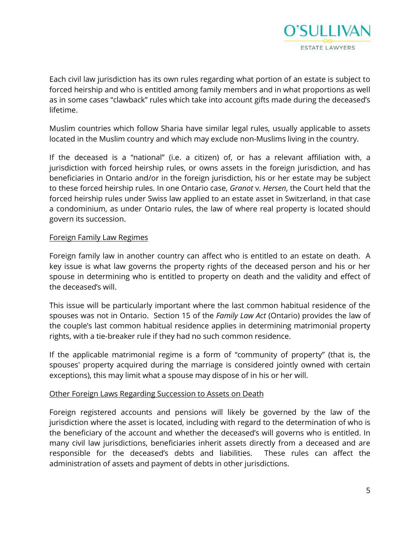![](_page_4_Picture_0.jpeg)

Each civil law jurisdiction has its own rules regarding what portion of an estate is subject to forced heirship and who is entitled among family members and in what proportions as well as in some cases "clawback" rules which take into account gifts made during the deceased's lifetime.

Muslim countries which follow Sharia have similar legal rules, usually applicable to assets located in the Muslim country and which may exclude non-Muslims living in the country.

If the deceased is a "national" (i.e. a citizen) of, or has a relevant affiliation with, a jurisdiction with forced heirship rules, or owns assets in the foreign jurisdiction, and has beneficiaries in Ontario and/or in the foreign jurisdiction, his or her estate may be subject to these forced heirship rules. In one Ontario case, *Granot* v*. Hersen*, the Court held that the forced heirship rules under Swiss law applied to an estate asset in Switzerland, in that case a condominium, as under Ontario rules, the law of where real property is located should govern its succession.

#### Foreign Family Law Regimes

Foreign family law in another country can affect who is entitled to an estate on death. A key issue is what law governs the property rights of the deceased person and his or her spouse in determining who is entitled to property on death and the validity and effect of the deceased's will.

This issue will be particularly important where the last common habitual residence of the spouses was not in Ontario. Section 15 of the *Family Law Act* (Ontario) provides the law of the couple's last common habitual residence applies in determining matrimonial property rights, with a tie-breaker rule if they had no such common residence.

If the applicable matrimonial regime is a form of "community of property" (that is, the spouses' property acquired during the marriage is considered jointly owned with certain exceptions), this may limit what a spouse may dispose of in his or her will.

#### Other Foreign Laws Regarding Succession to Assets on Death

Foreign registered accounts and pensions will likely be governed by the law of the jurisdiction where the asset is located, including with regard to the determination of who is the beneficiary of the account and whether the deceased's will governs who is entitled. In many civil law jurisdictions, beneficiaries inherit assets directly from a deceased and are responsible for the deceased's debts and liabilities. These rules can affect the administration of assets and payment of debts in other jurisdictions.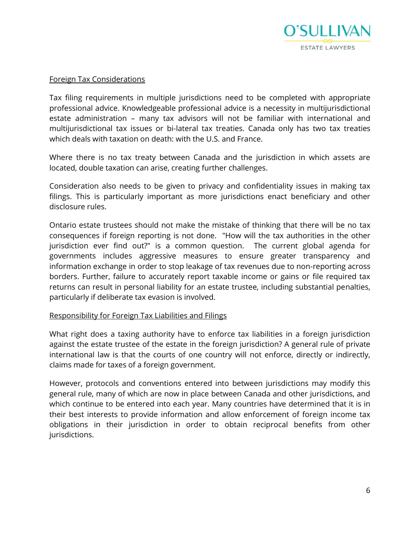![](_page_5_Picture_0.jpeg)

#### Foreign Tax Considerations

Tax filing requirements in multiple jurisdictions need to be completed with appropriate professional advice. Knowledgeable professional advice is a necessity in multijurisdictional estate administration – many tax advisors will not be familiar with international and multijurisdictional tax issues or bi-lateral tax treaties. Canada only has two tax treaties which deals with taxation on death: with the U.S. and France.

Where there is no tax treaty between Canada and the jurisdiction in which assets are located, double taxation can arise, creating further challenges.

Consideration also needs to be given to privacy and confidentiality issues in making tax filings. This is particularly important as more jurisdictions enact beneficiary and other disclosure rules.

Ontario estate trustees should not make the mistake of thinking that there will be no tax consequences if foreign reporting is not done. "How will the tax authorities in the other jurisdiction ever find out?" is a common question. The current global agenda for governments includes aggressive measures to ensure greater transparency and information exchange in order to stop leakage of tax revenues due to non-reporting across borders. Further, failure to accurately report taxable income or gains or file required tax returns can result in personal liability for an estate trustee, including substantial penalties, particularly if deliberate tax evasion is involved.

#### Responsibility for Foreign Tax Liabilities and Filings

What right does a taxing authority have to enforce tax liabilities in a foreign jurisdiction against the estate trustee of the estate in the foreign jurisdiction? A general rule of private international law is that the courts of one country will not enforce, directly or indirectly, claims made for taxes of a foreign government.

However, protocols and conventions entered into between jurisdictions may modify this general rule, many of which are now in place between Canada and other jurisdictions, and which continue to be entered into each year. Many countries have determined that it is in their best interests to provide information and allow enforcement of foreign income tax obligations in their jurisdiction in order to obtain reciprocal benefits from other jurisdictions.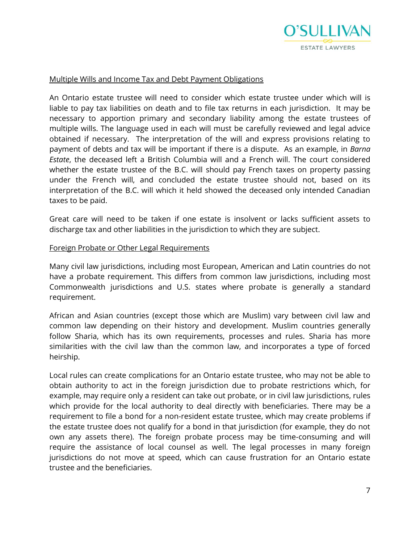![](_page_6_Picture_0.jpeg)

#### Multiple Wills and Income Tax and Debt Payment Obligations

An Ontario estate trustee will need to consider which estate trustee under which will is liable to pay tax liabilities on death and to file tax returns in each jurisdiction. It may be necessary to apportion primary and secondary liability among the estate trustees of multiple wills. The language used in each will must be carefully reviewed and legal advice obtained if necessary. The interpretation of the will and express provisions relating to payment of debts and tax will be important if there is a dispute. As an example, in *Barna Estate*, the deceased left a British Columbia will and a French will. The court considered whether the estate trustee of the B.C. will should pay French taxes on property passing under the French will, and concluded the estate trustee should not, based on its interpretation of the B.C. will which it held showed the deceased only intended Canadian taxes to be paid.

Great care will need to be taken if one estate is insolvent or lacks sufficient assets to discharge tax and other liabilities in the jurisdiction to which they are subject.

#### Foreign Probate or Other Legal Requirements

Many civil law jurisdictions, including most European, American and Latin countries do not have a probate requirement. This differs from common law jurisdictions, including most Commonwealth jurisdictions and U.S. states where probate is generally a standard requirement.

African and Asian countries (except those which are Muslim) vary between civil law and common law depending on their history and development. Muslim countries generally follow Sharia, which has its own requirements, processes and rules. Sharia has more similarities with the civil law than the common law, and incorporates a type of forced heirship.

Local rules can create complications for an Ontario estate trustee, who may not be able to obtain authority to act in the foreign jurisdiction due to probate restrictions which, for example, may require only a resident can take out probate, or in civil law jurisdictions, rules which provide for the local authority to deal directly with beneficiaries. There may be a requirement to file a bond for a non-resident estate trustee, which may create problems if the estate trustee does not qualify for a bond in that jurisdiction (for example, they do not own any assets there). The foreign probate process may be time-consuming and will require the assistance of local counsel as well. The legal processes in many foreign jurisdictions do not move at speed, which can cause frustration for an Ontario estate trustee and the beneficiaries.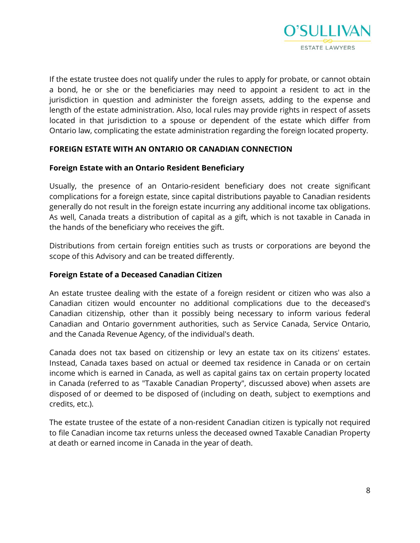![](_page_7_Picture_0.jpeg)

If the estate trustee does not qualify under the rules to apply for probate, or cannot obtain a bond, he or she or the beneficiaries may need to appoint a resident to act in the jurisdiction in question and administer the foreign assets, adding to the expense and length of the estate administration. Also, local rules may provide rights in respect of assets located in that jurisdiction to a spouse or dependent of the estate which differ from Ontario law, complicating the estate administration regarding the foreign located property.

# **FOREIGN ESTATE WITH AN ONTARIO OR CANADIAN CONNECTION**

#### **Foreign Estate with an Ontario Resident Beneficiary**

Usually, the presence of an Ontario-resident beneficiary does not create significant complications for a foreign estate, since capital distributions payable to Canadian residents generally do not result in the foreign estate incurring any additional income tax obligations. As well, Canada treats a distribution of capital as a gift, which is not taxable in Canada in the hands of the beneficiary who receives the gift.

Distributions from certain foreign entities such as trusts or corporations are beyond the scope of this Advisory and can be treated differently.

#### **Foreign Estate of a Deceased Canadian Citizen**

An estate trustee dealing with the estate of a foreign resident or citizen who was also a Canadian citizen would encounter no additional complications due to the deceased's Canadian citizenship, other than it possibly being necessary to inform various federal Canadian and Ontario government authorities, such as Service Canada, Service Ontario, and the Canada Revenue Agency, of the individual's death.

Canada does not tax based on citizenship or levy an estate tax on its citizens' estates. Instead, Canada taxes based on actual or deemed tax residence in Canada or on certain income which is earned in Canada, as well as capital gains tax on certain property located in Canada (referred to as "Taxable Canadian Property", discussed above) when assets are disposed of or deemed to be disposed of (including on death, subject to exemptions and credits, etc.).

The estate trustee of the estate of a non-resident Canadian citizen is typically not required to file Canadian income tax returns unless the deceased owned Taxable Canadian Property at death or earned income in Canada in the year of death.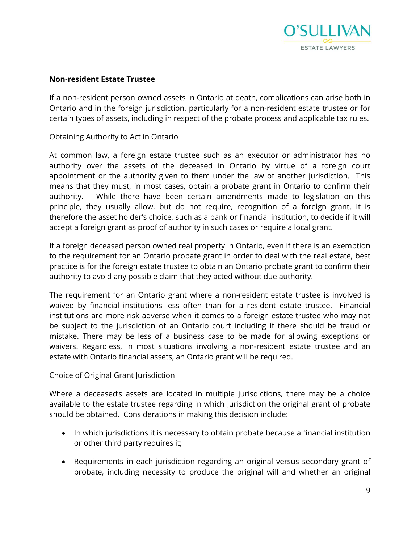![](_page_8_Picture_0.jpeg)

## **Non-resident Estate Trustee**

If a non-resident person owned assets in Ontario at death, complications can arise both in Ontario and in the foreign jurisdiction, particularly for a non-resident estate trustee or for certain types of assets, including in respect of the probate process and applicable tax rules.

#### Obtaining Authority to Act in Ontario

At common law, a foreign estate trustee such as an executor or administrator has no authority over the assets of the deceased in Ontario by virtue of a foreign court appointment or the authority given to them under the law of another jurisdiction. This means that they must, in most cases, obtain a probate grant in Ontario to confirm their authority. While there have been certain amendments made to legislation on this principle, they usually allow, but do not require, recognition of a foreign grant. It is therefore the asset holder's choice, such as a bank or financial institution, to decide if it will accept a foreign grant as proof of authority in such cases or require a local grant.

If a foreign deceased person owned real property in Ontario, even if there is an exemption to the requirement for an Ontario probate grant in order to deal with the real estate, best practice is for the foreign estate trustee to obtain an Ontario probate grant to confirm their authority to avoid any possible claim that they acted without due authority.

The requirement for an Ontario grant where a non-resident estate trustee is involved is waived by financial institutions less often than for a resident estate trustee. Financial institutions are more risk adverse when it comes to a foreign estate trustee who may not be subject to the jurisdiction of an Ontario court including if there should be fraud or mistake. There may be less of a business case to be made for allowing exceptions or waivers. Regardless, in most situations involving a non-resident estate trustee and an estate with Ontario financial assets, an Ontario grant will be required.

#### Choice of Original Grant Jurisdiction

Where a deceased's assets are located in multiple jurisdictions, there may be a choice available to the estate trustee regarding in which jurisdiction the original grant of probate should be obtained. Considerations in making this decision include:

- In which jurisdictions it is necessary to obtain probate because a financial institution or other third party requires it;
- Requirements in each jurisdiction regarding an original versus secondary grant of probate, including necessity to produce the original will and whether an original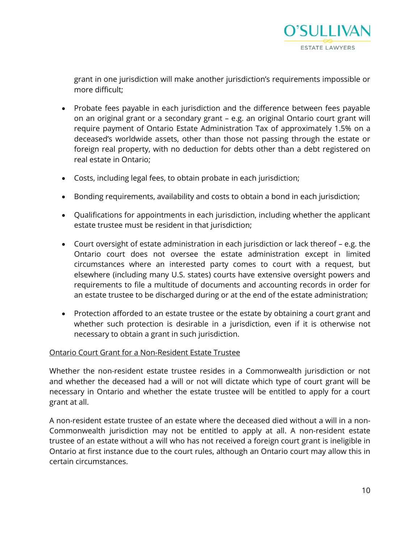![](_page_9_Picture_0.jpeg)

grant in one jurisdiction will make another jurisdiction's requirements impossible or more difficult;

- Probate fees payable in each jurisdiction and the difference between fees payable on an original grant or a secondary grant – e.g. an original Ontario court grant will require payment of Ontario Estate Administration Tax of approximately 1.5% on a deceased's worldwide assets, other than those not passing through the estate or foreign real property, with no deduction for debts other than a debt registered on real estate in Ontario;
- Costs, including legal fees, to obtain probate in each jurisdiction;
- Bonding requirements, availability and costs to obtain a bond in each jurisdiction;
- Qualifications for appointments in each jurisdiction, including whether the applicant estate trustee must be resident in that jurisdiction;
- Court oversight of estate administration in each jurisdiction or lack thereof e.g. the Ontario court does not oversee the estate administration except in limited circumstances where an interested party comes to court with a request, but elsewhere (including many U.S. states) courts have extensive oversight powers and requirements to file a multitude of documents and accounting records in order for an estate trustee to be discharged during or at the end of the estate administration;
- Protection afforded to an estate trustee or the estate by obtaining a court grant and whether such protection is desirable in a jurisdiction, even if it is otherwise not necessary to obtain a grant in such jurisdiction.

# Ontario Court Grant for a Non-Resident Estate Trustee

Whether the non-resident estate trustee resides in a Commonwealth jurisdiction or not and whether the deceased had a will or not will dictate which type of court grant will be necessary in Ontario and whether the estate trustee will be entitled to apply for a court grant at all.

A non-resident estate trustee of an estate where the deceased died without a will in a non-Commonwealth jurisdiction may not be entitled to apply at all. A non-resident estate trustee of an estate without a will who has not received a foreign court grant is ineligible in Ontario at first instance due to the court rules, although an Ontario court may allow this in certain circumstances.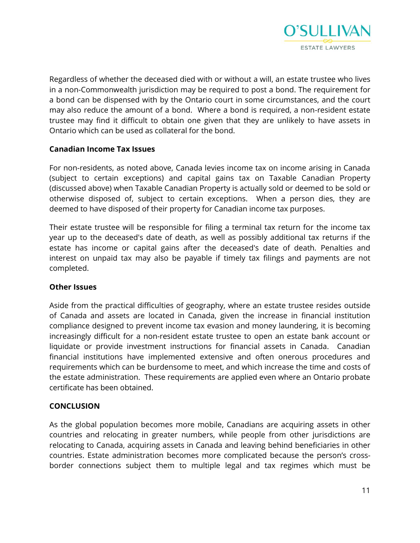![](_page_10_Picture_0.jpeg)

Regardless of whether the deceased died with or without a will, an estate trustee who lives in a non-Commonwealth jurisdiction may be required to post a bond. The requirement for a bond can be dispensed with by the Ontario court in some circumstances, and the court may also reduce the amount of a bond. Where a bond is required, a non-resident estate trustee may find it difficult to obtain one given that they are unlikely to have assets in Ontario which can be used as collateral for the bond.

# **Canadian Income Tax Issues**

For non-residents, as noted above, Canada levies income tax on income arising in Canada (subject to certain exceptions) and capital gains tax on Taxable Canadian Property (discussed above) when Taxable Canadian Property is actually sold or deemed to be sold or otherwise disposed of, subject to certain exceptions. When a person dies, they are deemed to have disposed of their property for Canadian income tax purposes.

Their estate trustee will be responsible for filing a terminal tax return for the income tax year up to the deceased's date of death, as well as possibly additional tax returns if the estate has income or capital gains after the deceased's date of death. Penalties and interest on unpaid tax may also be payable if timely tax filings and payments are not completed.

#### **Other Issues**

Aside from the practical difficulties of geography, where an estate trustee resides outside of Canada and assets are located in Canada, given the increase in financial institution compliance designed to prevent income tax evasion and money laundering, it is becoming increasingly difficult for a non-resident estate trustee to open an estate bank account or liquidate or provide investment instructions for financial assets in Canada. Canadian financial institutions have implemented extensive and often onerous procedures and requirements which can be burdensome to meet, and which increase the time and costs of the estate administration. These requirements are applied even where an Ontario probate certificate has been obtained.

# **CONCLUSION**

As the global population becomes more mobile, Canadians are acquiring assets in other countries and relocating in greater numbers, while people from other jurisdictions are relocating to Canada, acquiring assets in Canada and leaving behind beneficiaries in other countries. Estate administration becomes more complicated because the person's crossborder connections subject them to multiple legal and tax regimes which must be